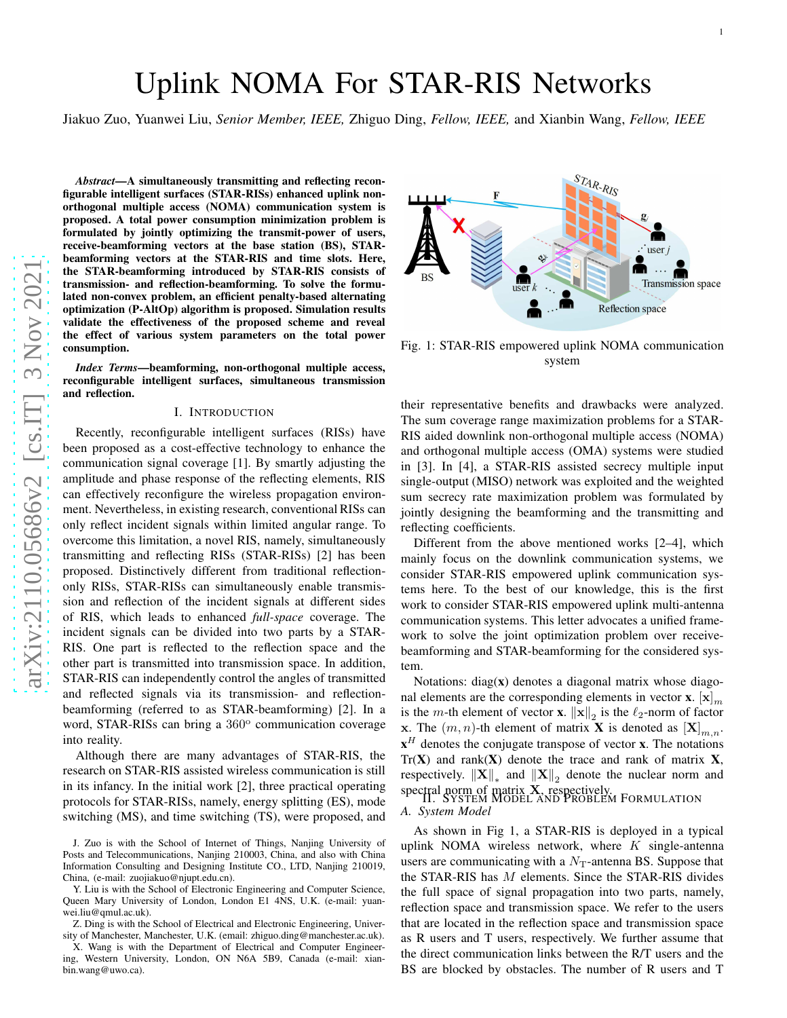# Uplink NOMA For STAR-RIS Networks

Jiakuo Zuo, Yuanwei Liu, *Senior Member, IEEE,* Zhiguo Ding, *Fellow, IEEE,* and Xianbin Wang, *Fellow, IEEE*

*Abstract*—A simultaneously transmitting and reflecting reconfigurable intelligent surfaces (STAR-RISs) enhanced uplink nonorthogonal multiple access (NOMA) communication system is proposed. A total power consumption minimization problem i s formulated by jointly optimizing the transmit-power of users, receive-beamforming vectors at the base station (BS), STAR beamforming vectors at the STAR-RIS and time slots. Here, the STAR-beamforming introduced by STAR-RIS consists of transmission- and reflection-beamforming. To solve the formulated non-convex problem, an efficient penalty-based alternating optimization (P-AltOp) algorithm is proposed. Simulation results validate the effectiveness of the proposed scheme and revea l the effect of various system parameters on the total power consumption.

*Index Terms*—beamforming, non-orthogonal multiple access, reconfigurable intelligent surfaces, simultaneous transmission and reflection.

#### I. INTRODUCTION

Recently, reconfigurable intelligent surfaces (RISs) have been proposed as a cost-effective technology to enhance the communication signal coverage [1]. By smartly adjusting th e amplitude and phase response of the reflecting elements, RIS can effectively reconfigure the wireless propagation environment. Nevertheless, in existing research, conventional RISs can only reflect incident signals within limited angular range. To overcome this limitation, a novel RIS, namely, simultaneously transmitting and reflecting RISs (STAR-RISs) [2] has been proposed. Distinctively different from traditional reflectiononly RISs, STAR-RISs can simultaneously enable transmission and reflection of the incident signals at different sides of RIS, which leads to enhanced *full-space* coverage. The incident signals can be divided into two parts by a STAR-RIS. One part is reflected to the reflection space and the other part is transmitted into transmission space. In addition, STAR-RIS can independently control the angles of transmitted and reflected signals via its transmission- and reflectionbeamforming (referred to as STAR-beamforming) [2]. In a word, STAR-RISs can bring a 360° communication coverage into reality.

Although there are many advantages of STAR-RIS, the research on STAR-RIS assisted wireless communication is still in its infancy. In the initial work [2], three practical operating protocols for STAR-RISs, namely, energy splitting (ES), mode switching (MS), and time switching (TS), were proposed, and

Z. Ding is with the School of Electrical and Electronic Engineering, University of Manchester, Manchester, U.K. (email: zhiguo.ding@manchester.ac.uk).



Fig. 1: STAR-RIS empowered uplink NOMA communication system

their representative benefits and drawbacks were analyzed. The sum coverage range maximization problems for a STAR-RIS aided downlink non-orthogonal multiple access (NOMA) and orthogonal multiple access (OMA) systems were studied in [3]. In [4], a STAR-RIS assisted secrecy multiple input single-output (MISO) network was exploited and the weighte d sum secrecy rate maximization problem was formulated by jointly designing the beamforming and the transmitting and reflecting coefficients.

Different from the above mentioned works [2–4], which mainly focus on the downlink communication systems, we consider STAR-RIS empowered uplink communication systems here. To the best of our knowledge, this is the first work to consider STAR-RIS empowered uplink multi-antenna communication systems. This letter advocates a unified framework to solve the joint optimization problem over receivebeamforming and STAR-beamforming for the considered system.

Notations: diag( x) denotes a diagonal matrix whose diagonal elements are the corresponding elements in vector **x**.  $[\mathbf{x}]_m$ is the *m*-th element of vector **x**.  $||\mathbf{x}||_2$  is the  $\ell_2$ -norm of factor **x**. The  $(m, n)$ -th element of matrix **X** is denoted as  $[X]_{m,n}$ .  $x<sup>H</sup>$  denotes the conjugate transpose of vector **x**. The notations  $Tr(X)$  and rank $(X)$  denote the trace and rank of matrix X, respectively.  $\|\mathbf{X}\|_*$  and  $\|\mathbf{X}\|_2$  denote the nuclear norm and spectral norm of matrix **X**, respectively.<br>II. SYSTEM MODEL AND PROBLEM FORMULATION

*A. System Model*

As shown in Fig 1, a STAR-RIS is deployed in a typical uplink NOMA wireless network, where  $K$  single-antenna users are communicating with a  $N<sub>T</sub>$ -antenna BS. Suppose that the STAR-RIS has M elements. Since the STAR-RIS divides the full space of signal propagation into two parts, namely, reflection space and transmission space. We refer to the user s that are located in the reflection space and transmission space as R users and T users, respectively. We further assume that the direct communication links between the R/T users and the BS are blocked by obstacles. The number of R users and T

J. Zuo is with the School of Internet of Things, Nanjing University of Posts and Telecommunications, Nanjing 210003, China, and also with China Information Consulting and Designing Institute CO., LTD, Nanjing 210019, China, (e-mail: zuojiakuo@njupt.edu.cn).

Y. Liu is with the School of Electronic Engineering and Computer Science, Queen Mary University of London, London E1 4NS, U.K. (e-mail: yuanwei.liu@qmul.ac.uk).

X. Wang is with the Department of Electrical and Computer Engineering, Western University, London, ON N6A 5B9, Canada (e-mail: xianbin.wang@uwo.ca).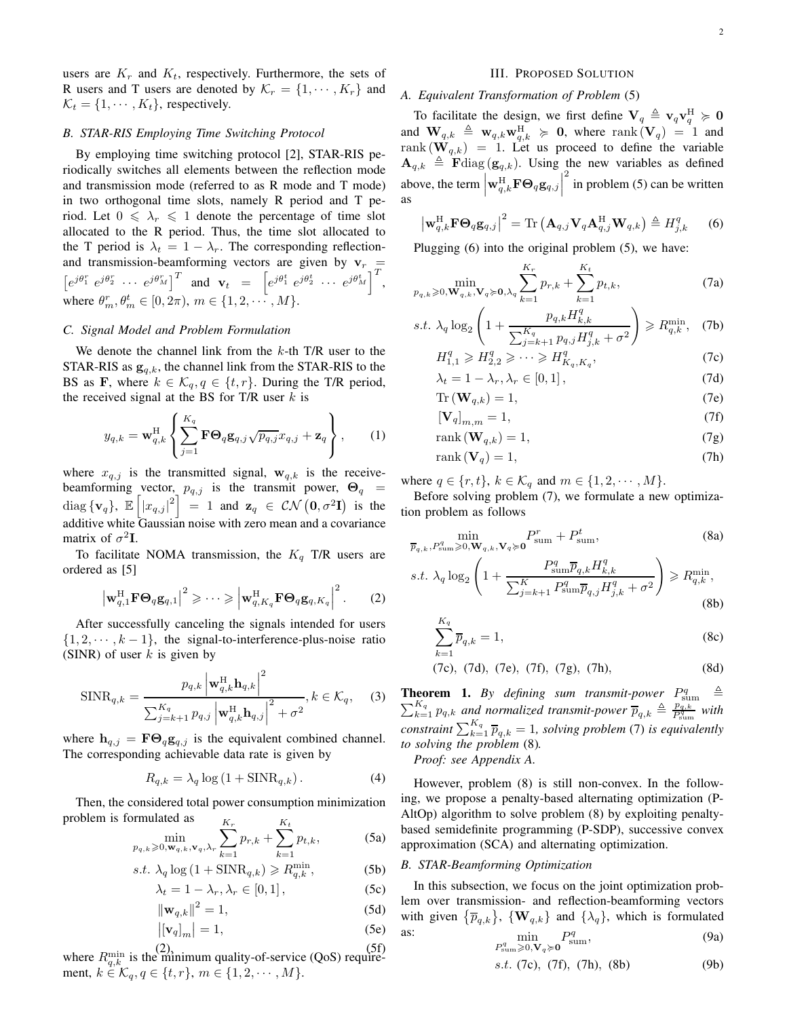users are  $K_r$  and  $K_t$ , respectively. Furthermore, the sets of R users and T users are denoted by  $\mathcal{K}_r = \{1, \dots, K_r\}$  and  $K_t = \{1, \cdots, K_t\}$ , respectively.

## *B. STAR-RIS Employing Time Switching Protocol*

By employing time switching protocol [2], STAR-RIS periodically switches all elements between the reflection mode and transmission mode (referred to as R mode and T mode) in two orthogonal time slots, namely R period and T period. Let  $0 \le \lambda_r \le 1$  denote the percentage of time slot allocated to the R period. Thus, the time slot allocated to the T period is  $\lambda_t = 1 - \lambda_r$ . The corresponding reflectionand transmission-beamforming vectors are given by  $v_r =$  $\left[e^{j\theta_1^r} e^{j\theta_2^r} \cdots e^{j\theta_M^r}\right]^T$  and  $\mathbf{v}_t = \left[e^{j\theta_1^t} e^{j\theta_2^t} \cdots e^{j\theta_M^t}\right]^T$ , where  $\theta_m^r, \theta_m^t \in [0, 2\pi), m \in \{1, 2, \cdots, M\}.$ 

## *C. Signal Model and Problem Formulation*

We denote the channel link from the  $k$ -th T/R user to the STAR-RIS as  $g_{q,k}$ , the channel link from the STAR-RIS to the BS as F, where  $k \in \mathcal{K}_q, q \in \{t, r\}$ . During the T/R period, the received signal at the BS for T/R user  $k$  is

$$
y_{q,k} = \mathbf{w}_{q,k}^{\mathrm{H}} \left\{ \sum_{j=1}^{K_q} \mathbf{F} \mathbf{\Theta}_q \mathbf{g}_{q,j} \sqrt{p_{q,j}} x_{q,j} + \mathbf{z}_q \right\},\qquad(1)
$$

where  $x_{q,j}$  is the transmitted signal,  $\mathbf{w}_{q,k}$  is the receivebeamforming vector,  $p_{q,j}$  is the transmit power,  $\Theta_q$  = diag  $\{v_q\}$ ,  $\mathbb{E}\left[\left|x_{q,j}\right|^2\right] = 1$  and  $z_q \in \mathcal{CN}\left(0, \sigma^2 I\right)$  is the additive white Gaussian noise with zero mean and a covariance matrix of  $\sigma^2 I$ .

To facilitate NOMA transmission, the  $K_q$  T/R users are ordered as [5]

$$
\left|\mathbf{w}_{q,1}^{\mathrm{H}}\mathbf{F}\mathbf{\Theta}_{q}\mathbf{g}_{q,1}\right|^{2} \geqslant \cdots \geqslant \left|\mathbf{w}_{q,K_{q}}^{\mathrm{H}}\mathbf{F}\mathbf{\Theta}_{q}\mathbf{g}_{q,K_{q}}\right|^{2}.
$$
 (2)

After successfully canceling the signals intended for users  $\{1, 2, \dots, k-1\}$ , the signal-to-interference-plus-noise ratio (SINR) of user  $k$  is given by

$$
\text{SINR}_{q,k} = \frac{p_{q,k} \left| \mathbf{w}_{q,k}^{\text{H}} \mathbf{h}_{q,k} \right|^2}{\sum_{j=k+1}^{K_q} p_{q,j} \left| \mathbf{w}_{q,k}^{\text{H}} \mathbf{h}_{q,j} \right|^2 + \sigma^2}, k \in \mathcal{K}_q, \quad (3)
$$

where  $h_{q,j} = \mathbf{F}\Theta_q \mathbf{g}_{q,j}$  is the equivalent combined channel. The corresponding achievable data rate is given by

$$
R_{q,k} = \lambda_q \log \left( 1 + \text{SINR}_{q,k} \right). \tag{4}
$$

Then, the considered total power consumption minimization problem is formulated as

 $p_q$ 

$$
\min_{k \geqslant 0, \mathbf{w}_{q,k}, \mathbf{v}_q, \lambda_r} \sum_{k=1}^{K_r} p_{r,k} + \sum_{k=1}^{K_t} p_{t,k},
$$
\n(5a)

$$
s.t. \ \lambda_q \log\left(1 + \text{SINR}_{q,k}\right) \geqslant R_{q,k}^{\min},\tag{5b}
$$

$$
\lambda_t = 1 - \lambda_r, \lambda_r \in [0, 1], \tag{5c}
$$

$$
\|\mathbf{w}_{q,k}\|^2 = 1,\tag{5d}
$$

$$
\left| \left[ \mathbf{v}_q \right]_m \right| = 1,\tag{5e}
$$

where  $R_{q,k}^{\min}$  is the minimum quality-of-service (QoS) requirement,  $k \in \mathcal{K}_q, q \in \{t, r\}, m \in \{1, 2, \cdots, M\}.$ 

#### III. PROPOSED SOLUTION

## *A. Equivalent Transformation of Problem* (5)

To facilitate the design, we first define  $V_q \triangleq V_q V_q^H \succcurlyeq 0$ and  $\mathbf{W}_{q,k} \triangleq \mathbf{w}_{q,k} \mathbf{w}_{q,k}^{\text{H}} \succcurlyeq \mathbf{0}$ , where  $\text{rank}(\mathbf{V}_q) = 1$  and rank  $(\mathbf{W}_{q,k}) = 1$ . Let us proceed to define the variable  $\mathbf{A}_{q,k} \triangleq \mathbf{F}$ diag ( $\mathbf{g}_{q,k}$ ). Using the new variables as defined above, the term  $\left| \mathbf{w}_{q,k}^{\mathrm{H}}\mathbf{F}\mathbf{\Theta}_q\mathbf{g}_{q,j} \right|$  $\frac{2}{3}$  in problem (5) can be written as

$$
\left|\mathbf{w}_{q,k}^{\mathrm{H}}\mathbf{F}\mathbf{\Theta}_{q}\mathbf{g}_{q,j}\right|^{2}=\mathrm{Tr}\left(\mathbf{A}_{q,j}\mathbf{V}_{q}\mathbf{A}_{q,j}^{\mathrm{H}}\mathbf{W}_{q,k}\right)\triangleq H_{j,k}^{q}
$$
 (6)

Plugging (6) into the original problem (5), we have:

$$
\min_{p_{q,k}\geqslant 0, \mathbf{W}_{q,k}, \mathbf{V}_q\succeq \mathbf{0}, \lambda_q} \sum_{k=1}^{K_r} p_{r,k} + \sum_{k=1}^{K_t} p_{t,k},\tag{7a}
$$

$$
s.t. \ \lambda_q \log_2 \left( 1 + \frac{p_{q,k} H_{k,k}^q}{\sum_{j=k+1}^{K_q} p_{q,j} H_{j,k}^q + \sigma^2} \right) \ge R_{q,k}^{\min}, \quad (7b)
$$

$$
H_{1,1}^q \geqslant H_{2,2}^q \geqslant \cdots \geqslant H_{K_q,K_q}^q,\tag{7c}
$$

$$
\lambda_t = 1 - \lambda_r, \lambda_r \in [0, 1],
$$
\n
$$
\text{Tr}(\mathbf{W}_{-h}) = 1
$$
\n(7d)

$$
\mathbf{r} \left( \mathbf{W}_{q,k} \right) = 1, \tag{7e}
$$

$$
\left[\mathbf{V}_q\right]_{m,m} = 1,\tag{7f}
$$

$$
rank(\mathbf{W}_{q,k}) = 1,\t\t(7g)
$$

$$
rank(\mathbf{V}_q) = 1,\tag{7h}
$$

where  $q \in \{r, t\}$ ,  $k \in \mathcal{K}_q$  and  $m \in \{1, 2, \cdots, M\}$ .

Before solving problem (7), we formulate a new optimization problem as follows

$$
\min_{\overline{p}_{q,k}, P_{\text{sum}}^q \ge 0, \mathbf{W}_{q,k}, \mathbf{V}_q \succcurlyeq \mathbf{0}} P_{\text{sum}}^r + P_{\text{sum}}^t,\tag{8a}
$$

$$
s.t. \ \lambda_q \log_2 \left( 1 + \frac{P_{\text{sum}}^q \overline{p}_{q,k} H_{k,k}^q}{\sum_{j=k+1}^K P_{\text{sum}}^q \overline{p}_{q,j} H_{j,k}^q + \sigma^2} \right) \ge R_{q,k}^{\min},\tag{8b}
$$

$$
\sum_{k=1}^{K_q} \overline{p}_{q,k} = 1,\tag{8c}
$$

$$
(7c), (7d), (7e), (7f), (7g), (7h),
$$
 (8d)

**Theorem 1.** By defining sum transmit-power  $P_{\text{sum}}^q \triangleq \sum_{k=1}^{K_q} p_a k$  and normalized transmit-power  $\overline{p}_a k \triangleq \frac{p_a k}{d}$  with  $K_q$   $p_{q,k}$  and normalized transmit-power  $\overline{p}_{q,k} \triangleq \frac{p_{q,k}}{P_{\text{sum}}^q}$  $\frac{p_{q,k}}{P_{\text{sum}}^{q}}$  with  $\sum_{k=1}^{K_{q}} \overline{p}_{q,k} = 1$ , solving problem (7) is equivalently *to solving the problem* (8)*.*

*Proof: see Appendix A.*

However, problem (8) is still non-convex. In the following, we propose a penalty-based alternating optimization (P-AltOp) algorithm to solve problem (8) by exploiting penaltybased semidefinite programming (P-SDP), successive convex approximation (SCA) and alternating optimization.

## *B. STAR-Beamforming Optimization*

In this subsection, we focus on the joint optimization problem over transmission- and reflection-beamforming vectors with given  $\{\overline{p}_{q,k}\}\$ ,  $\{\mathbf{W}_{q,k}\}\$  and  $\{\lambda_q\}\$ , which is formulated as: min

$$
\min_{P_{\text{sum}}^q \geq 0, \mathbf{V}_q \succcurlyeq \mathbf{0}} P_{\text{sum}}^q,
$$
\n(9a)

$$
s.t. (7c), (7f), (7h), (8b) \tag{9b}
$$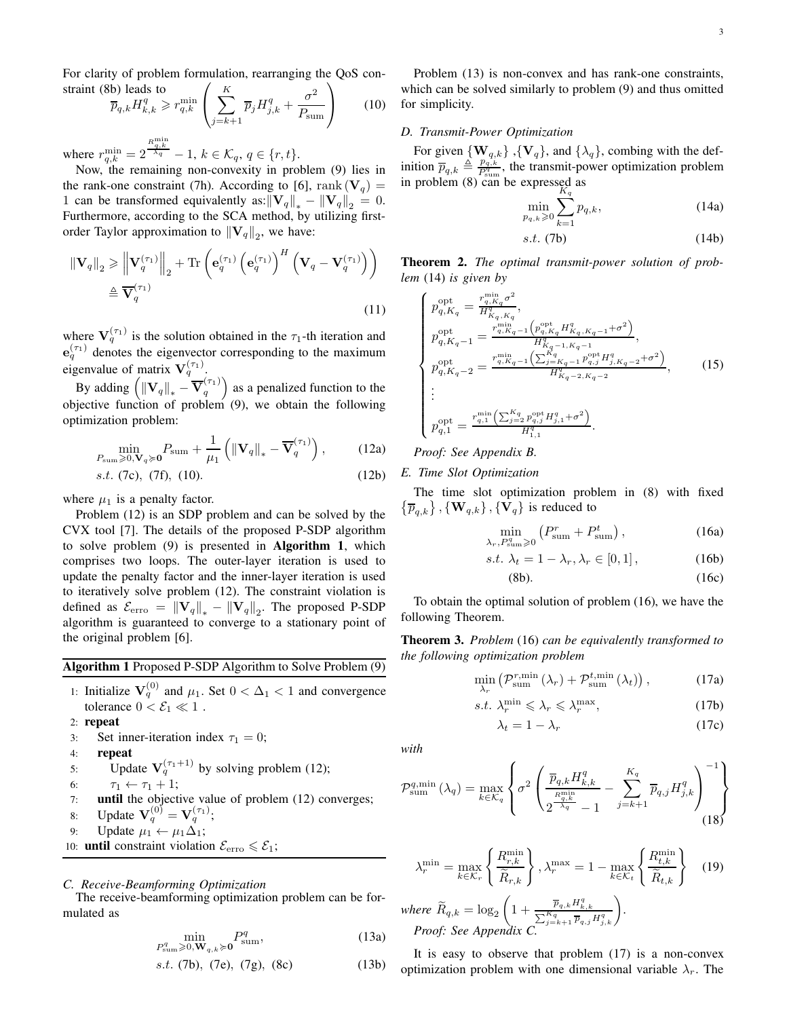For clarity of problem formulation, rearranging the QoS constraint (8b) leads to  $\left( K \right)$ 2  $\setminus$ 

$$
\overline{p}_{q,k} H_{k,k}^q \ge r_{q,k}^{\min} \left( \sum_{j=k+1}^{\Lambda} \overline{p}_j H_{j,k}^q + \frac{\sigma^2}{P_{\text{sum}}} \right) \qquad (10)
$$

where  $r_{q,k}^{\min} = 2$  $\frac{R_{q,k}^{\min}}{\lambda_q} - 1, k \in \mathcal{K}_q, q \in \{r, t\}.$ 

Now, the remaining non-convexity in problem (9) lies in the rank-one constraint (7h). According to [6], rank ( $V_q$ ) = 1 can be transformed equivalently as: $\|\mathbf{V}_q\|_* - \|\mathbf{V}_q\|_2 = 0.$ Furthermore, according to the SCA method, by utilizing firstorder Taylor approximation to  $\|\mathbf{V}_q\|_2$ , we have:

$$
\|\mathbf{V}_q\|_2 \geq \left\|\mathbf{V}_q^{(\tau_1)}\right\|_2 + \text{Tr}\left(\mathbf{e}_q^{(\tau_1)}\left(\mathbf{e}_q^{(\tau_1)}\right)^H \left(\mathbf{V}_q - \mathbf{V}_q^{(\tau_1)}\right)\right)
$$

$$
\triangleq \overline{\mathbf{V}}_q^{(\tau_1)} \tag{11}
$$

where  $V_q^{(\tau_1)}$  is the solution obtained in the  $\tau_1$ -th iteration and  $e_q^{(\tau_1)}$  denotes the eigenvector corresponding to the maximum eigenvalue of matrix  $V_q^{(\tau_1)}$ .

By adding  $\left( \left\| \mathbf{V}_q \right\|_\ast - \overline{\mathbf{V}}_q^{(\tau_1)} \right)$  $\binom{(\tau_1)}{q}$  as a penalized function to the objective function of problem  $(9)$ , we obtain the following optimization problem:

$$
\min_{P_{\text{sum}} \ge 0, \mathbf{V}_q \succcurlyeq \mathbf{0}} P_{\text{sum}} + \frac{1}{\mu_1} \left( \left\| \mathbf{V}_q \right\|_{*} - \overline{\mathbf{V}}_q^{(\tau_1)} \right), \tag{12a}
$$

$$
s.t. (7c), (7f), (10). \tag{12b}
$$

where  $\mu_1$  is a penalty factor.

Problem (12) is an SDP problem and can be solved by the CVX tool [7]. The details of the proposed P-SDP algorithm to solve problem (9) is presented in Algorithm 1, which comprises two loops. The outer-layer iteration is used to update the penalty factor and the inner-layer iteration is used to iteratively solve problem (12). The constraint violation is defined as  $\mathcal{E}_{\text{erro}} = ||\mathbf{V}_q||_* - ||\mathbf{V}_q||_2$ . The proposed P-SDP algorithm is guaranteed to converge to a stationary point of the original problem [6].

## Algorithm 1 Proposed P-SDP Algorithm to Solve Problem (9)

1: Initialize 
$$
\mathbf{V}_q^{(0)}
$$
 and  $\mu_1$ . Set  $0 < \Delta_1 < 1$  and convergence tolerance  $0 < \mathcal{E}_1 \ll 1$ .

2: repeat

- 3: Set inner-iteration index  $\tau_1 = 0$ ;
- 4: repeat
- 5: Update  $V_q^{(\tau_1+1)}$  by solving problem (12);
- 
- 6:  $\tau_1 \leftarrow \tau_1 + 1$ ;<br>7: **until** the object until the objective value of problem (12) converges;
- 8: Update  ${\bf V}_q^{(0)}={\bf V}_q^{(\tau_1)}$ ;
- 9: Update  $\mu_1 \leftarrow \mu_1 \Delta_1$ ;
- 10: **until** constraint violation  $\mathcal{E}_{\text{erro}} \leq \mathcal{E}_1$ ;

# *C. Receive-Beamforming Optimization*

The receive-beamforming optimization problem can be formulated as

$$
\min_{P_{\text{sum}}^q \ge 0, \mathbf{W}_{q,k} \succcurlyeq \mathbf{0}} P_{\text{sum}}^q,\tag{13a}
$$

s.t. (7b), (7e), (7g), (8c) 
$$
(13b)
$$

Problem (13) is non-convex and has rank-one constraints, which can be solved similarly to problem (9) and thus omitted for simplicity.

## *D. Transmit-Power Optimization*

For given  $\{W_{q,k}\}, \{V_q\},$  and  $\{\lambda_q\}$ , combing with the definition  $\overline{p}_{q,k} \triangleq \frac{p_{q,k}^{q,k}}{P_{\text{sym}}^{q,k}}$  $\frac{p_{q,k}}{P_{\text{sum}}^q}$ , the transmit-power optimization problem in problem (8) can be expressed as

$$
\min_{p_{q,k}\geq 0} \sum_{k=1}^{N} p_{q,k},
$$
\n(14a)

$$
s.t. (7b) \t(14b)
$$

Theorem 2. *The optimal transmit-power solution of problem* (14) *is given by*

$$
\begin{cases}\np_{q,K_q}^{\text{opt}} = \frac{r_{q,K_q}^{\min} \sigma^2}{H_{K_q,K_q}^q}, \\
p_{q,K_q-1}^{\text{opt}} = \frac{r_{q,K_q-1}^{\min} \left( p_{q,K_q}^{\text{opt}} H_{K_q,K_q-1}^q + \sigma^2 \right)}{H_{K_q-1,K_q-1}^q}, \\
p_{q,K_q-2}^{\text{opt}} = \frac{r_{q,K_q-1}^{\min} \left( \sum_{j=K_q-1}^{K_q} p_{q,j}^{\text{opt}} H_{j,K_q-2}^q + \sigma^2 \right)}{H_{K_q-2,K_q-2}^q}, \\
\vdots \\
p_{q,1}^{\text{opt}} = \frac{r_{q,1}^{\min} \left( \sum_{j=2}^{K_q} p_{q,j}^{\text{opt}} H_{j,1}^q + \sigma^2 \right)}{H_{1,1}^q}.\n\end{cases} \tag{15}
$$

*Proof: See Appendix B.*

## *E. Time Slot Optimization*

The time slot optimization problem in (8) with fixed  $\{\overline{p}_{q,k}\}\,$ ,  $\{\mathbf W_{q,k}\}\,$ ,  $\{\overline{\mathbf V}_q\}$  is reduced to

$$
\min_{\lambda_r, P_{\text{sum}}^q \ge 0} \left( P_{\text{sum}}^r + P_{\text{sum}}^t \right),\tag{16a}
$$

$$
s.t. \lambda_t = 1 - \lambda_r, \lambda_r \in [0, 1], \qquad (16b)
$$

$$
(8b). \t(16c)
$$

To obtain the optimal solution of problem (16), we have the following Theorem.

Theorem 3. *Problem* (16) *can be equivalently transformed to the following optimization problem*

$$
\min_{\lambda_r} \left( \mathcal{P}_{\text{sum}}^{r, \text{min}} \left( \lambda_r \right) + \mathcal{P}_{\text{sum}}^{t, \text{min}} \left( \lambda_t \right) \right), \tag{17a}
$$

$$
s.t. \ \lambda_r^{\min} \leqslant \lambda_r \leqslant \lambda_r^{\max},\tag{17b}
$$

$$
\lambda_t = 1 - \lambda_r \tag{17c}
$$

*with*

$$
\mathcal{P}_{\text{sum}}^{q,\text{min}}\left(\lambda_q\right) = \max_{k \in \mathcal{K}_q} \left\{\sigma^2 \left(\frac{\overline{p}_{q,k} H_{k,k}^q}{2\frac{R_{q,k}^{\text{min}}}{\lambda_q} - 1} - \sum_{j=k+1}^{K_q} \overline{p}_{q,j} H_{j,k}^q\right)^{-1}\right\} \tag{18}
$$

$$
\lambda_r^{\min} = \max_{k \in \mathcal{K}_r} \left\{ \frac{R_{r,k}^{\min}}{\widetilde{R}_{r,k}} \right\}, \lambda_r^{\max} = 1 - \max_{k \in \mathcal{K}_t} \left\{ \frac{R_{t,k}^{\min}}{\widetilde{R}_{t,k}} \right\} \quad (19)
$$
\nwhere  $\widetilde{R}_{q,k} = \log_2 \left( 1 + \frac{\overline{p}_{q,k} H_{k,k}^q}{\sum_{j=k+1}^{K_q} \overline{p}_{q,j} H_{j,k}^q} \right).$ 

\nProof: See Appendix C.

It is easy to observe that problem (17) is a non-convex optimization problem with one dimensional variable  $\lambda_r$ . The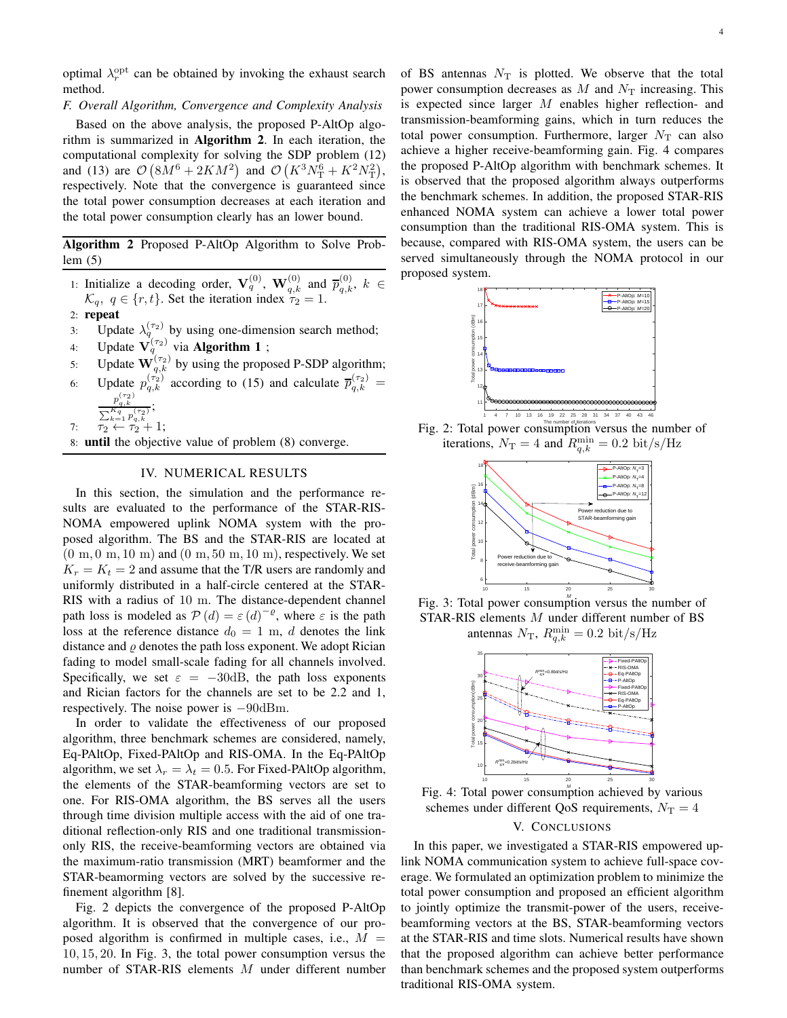optimal  $\lambda_r^{\text{opt}}$  can be obtained by invoking the exhaust search method.

## *F. Overall Algorithm, Convergence and Complexity Analysis*

Based on the above analysis, the proposed P-AltOp algorithm is summarized in Algorithm 2. In each iteration, the computational complexity for solving the SDP problem (12) and (13) are  $\mathcal{O}(8M^6 + 2KM^2)$  and  $\mathcal{O}(K^3N_T^6 + K^2N_T^2)$ , respectively. Note that the convergence is guaranteed since the total power consumption decreases at each iteration and the total power consumption clearly has an lower bound.

Algorithm 2 Proposed P-AltOp Algorithm to Solve Problem (5)

- 1: Initialize a decoding order,  $\mathbf{V}_q^{(0)}$ ,  $\mathbf{W}_{q,k}^{(0)}$  and  $\overline{p}_{q,k}^{(0)}$ ,  $k \in$  $\mathcal{K}_q, q \in \{r, t\}.$  Set the iteration index  $\tau_2 = 1.$
- 2: repeat
- 3: Update  $\lambda_q^{(\tau_2)}$  by using one-dimension search method;
- 4: Update  $V_q^{(\tau_2)}$  via **Algorithm 1**;
- 5: Update  $\mathbf{W}_{q,k}^{(\tau_2)}$  by using the proposed P-SDP algorithm;
- 6: Update  $p_{q,k}^{(\tau_2)}$  according to (15) and calculate  $\overline{p}_{q,k}^{(\tau_2)}$  =  $\frac{p_{q,k}^{(\tau_2)}}{\sum_{k=1}^{K_q} p_{q,k}^{(\tau_2)}}$ ;
- 7:  $\tau_2 \leftarrow \tau_2 + 1;$
- 8: until the objective value of problem (8) converge.

## IV. NUMERICAL RESULTS

In this section, the simulation and the performance results are evaluated to the performance of the STAR-RIS-NOMA empowered uplink NOMA system with the proposed algorithm. The BS and the STAR-RIS are located at  $(0 \text{ m}, 0 \text{ m}, 10 \text{ m})$  and  $(0 \text{ m}, 50 \text{ m}, 10 \text{ m})$ , respectively. We set  $K_r = K_t = 2$  and assume that the T/R users are randomly and uniformly distributed in a half-circle centered at the STAR-RIS with a radius of 10 m. The distance-dependent channel path loss is modeled as  $P(d) = \varepsilon(d)^{-\varrho}$ , where  $\varepsilon$  is the path loss at the reference distance  $d_0 = 1$  m, d denotes the link distance and  $\rho$  denotes the path loss exponent. We adopt Rician fading to model small-scale fading for all channels involved. Specifically, we set  $\varepsilon = -30$ dB, the path loss exponents and Rician factors for the channels are set to be 2.2 and 1, respectively. The noise power is −90dBm.

In order to validate the effectiveness of our proposed algorithm, three benchmark schemes are considered, namely, Eq-PAltOp, Fixed-PAltOp and RIS-OMA. In the Eq-PAltOp algorithm, we set  $\lambda_r = \lambda_t = 0.5$ . For Fixed-PAltOp algorithm, the elements of the STAR-beamforming vectors are set to one. For RIS-OMA algorithm, the BS serves all the users through time division multiple access with the aid of one traditional reflection-only RIS and one traditional transmissiononly RIS, the receive-beamforming vectors are obtained via the maximum-ratio transmission (MRT) beamformer and the STAR-beamorming vectors are solved by the successive refinement algorithm [8].

Fig. 2 depicts the convergence of the proposed P-AltOp algorithm. It is observed that the convergence of our proposed algorithm is confirmed in multiple cases, i.e.,  $M =$ 10, 15, 20. In Fig. 3, the total power consumption versus the number of STAR-RIS elements M under different number of BS antennas  $N_T$  is plotted. We observe that the total power consumption decreases as  $M$  and  $N<sub>T</sub>$  increasing. This is expected since larger M enables higher reflection- and transmission-beamforming gains, which in turn reduces the total power consumption. Furthermore, larger  $N_T$  can also achieve a higher receive-beamforming gain. Fig. 4 compares the proposed P-AltOp algorithm with benchmark schemes. It is observed that the proposed algorithm always outperforms the benchmark schemes. In addition, the proposed STAR-RIS enhanced NOMA system can achieve a lower total power consumption than the traditional RIS-OMA system. This is because, compared with RIS-OMA system, the users can be served simultaneously through the NOMA protocol in our proposed system.



Fig. 2: Total power consumption versus the number of iterations,  $N_T = 4$  and  $R_{q,k}^{\min} = 0.2$  bit/s/Hz



Fig. 3: Total power consumption versus the number of STAR-RIS elements M under different number of BS antennas  $N_{\rm T}$ ,  $R_{q,k}^{\rm min} = 0.2 \text{ bit/s/Hz}$ 



Fig. 4: Total power consumption achieved by various schemes under different QoS requirements,  $N_T = 4$ 

# V. CONCLUSIONS

In this paper, we investigated a STAR-RIS empowered uplink NOMA communication system to achieve full-space coverage. We formulated an optimization problem to minimize the total power consumption and proposed an efficient algorithm to jointly optimize the transmit-power of the users, receivebeamforming vectors at the BS, STAR-beamforming vectors at the STAR-RIS and time slots. Numerical results have shown that the proposed algorithm can achieve better performance than benchmark schemes and the proposed system outperforms traditional RIS-OMA system.